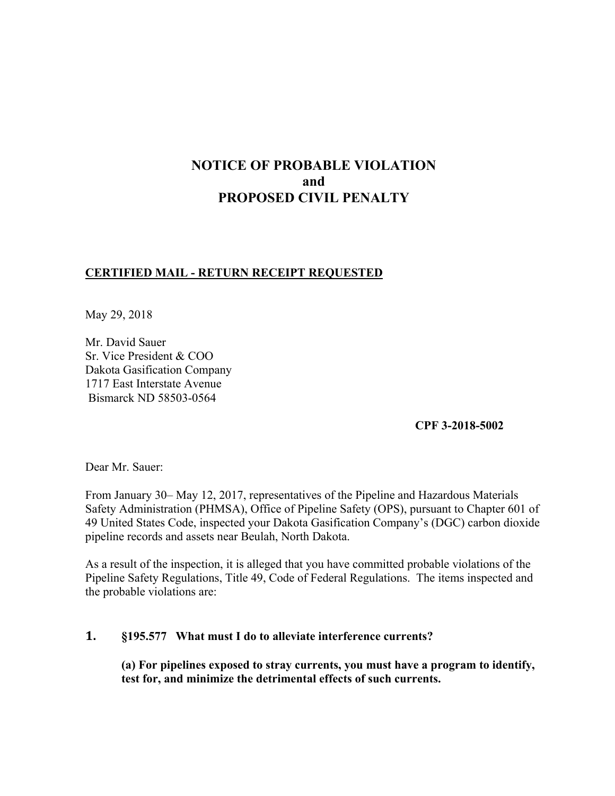# **NOTICE OF PROBABLE VIOLATION and PROPOSED CIVIL PENALTY**

# **CERTIFIED MAIL - RETURN RECEIPT REQUESTED**

May 29, 2018

Mr. David Sauer Sr. Vice President & COO Dakota Gasification Company 1717 East Interstate Avenue Bismarck ND 58503-0564

**CPF 3-2018-5002** 

Dear Mr. Sauer:

From January 30– May 12, 2017, representatives of the Pipeline and Hazardous Materials Safety Administration (PHMSA), Office of Pipeline Safety (OPS), pursuant to Chapter 601 of 49 United States Code, inspected your Dakota Gasification Company's (DGC) carbon dioxide pipeline records and assets near Beulah, North Dakota.

As a result of the inspection, it is alleged that you have committed probable violations of the Pipeline Safety Regulations, Title 49, Code of Federal Regulations. The items inspected and the probable violations are:

## **1. §195.577 What must I do to alleviate interference currents?**

**(a) For pipelines exposed to stray currents, you must have a program to identify, test for, and minimize the detrimental effects of such currents.**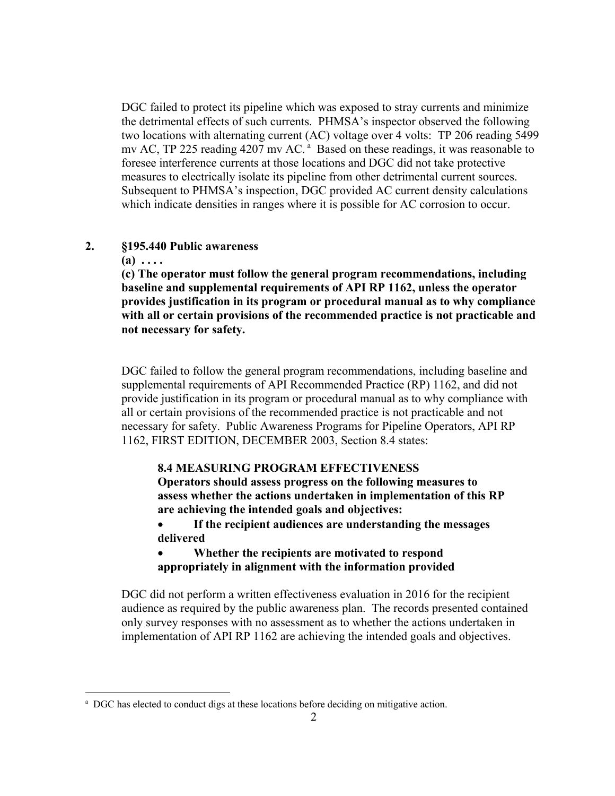DGC failed to protect its pipeline which was exposed to stray currents and minimize the detrimental effects of such currents. PHMSA's inspector observed the following two locations with alternating current (AC) voltage over 4 volts: TP 206 reading 5499 mv AC, TP 225 reading 4207 mv AC.<sup>a</sup> Based on these readings, it was reasonable to foresee interference currents at those locations and DGC did not take protective measures to electrically isolate its pipeline from other detrimental current sources. Subsequent to PHMSA's inspection, DGC provided AC current density calculations which indicate densities in ranges where it is possible for AC corrosion to occur.

#### **2. §195.440 Public awareness**

**(a) . . . .** 

1

**(c) The operator must follow the general program recommendations, including baseline and supplemental requirements of API RP 1162, unless the operator provides justification in its program or procedural manual as to why compliance with all or certain provisions of the recommended practice is not practicable and not necessary for safety.** 

DGC failed to follow the general program recommendations, including baseline and supplemental requirements of API Recommended Practice (RP) 1162, and did not provide justification in its program or procedural manual as to why compliance with all or certain provisions of the recommended practice is not practicable and not necessary for safety. Public Awareness Programs for Pipeline Operators, API RP 1162, FIRST EDITION, DECEMBER 2003, Section 8.4 states:

#### **8.4 MEASURING PROGRAM EFFECTIVENESS**

**Operators should assess progress on the following measures to assess whether the actions undertaken in implementation of this RP are achieving the intended goals and objectives:** 

- **If the recipient audiences are understanding the messages delivered**
- **Whether the recipients are motivated to respond appropriately in alignment with the information provided**

DGC did not perform a written effectiveness evaluation in 2016 for the recipient audience as required by the public awareness plan. The records presented contained only survey responses with no assessment as to whether the actions undertaken in implementation of API RP 1162 are achieving the intended goals and objectives.

<sup>&</sup>lt;sup>a</sup> DGC has elected to conduct digs at these locations before deciding on mitigative action.